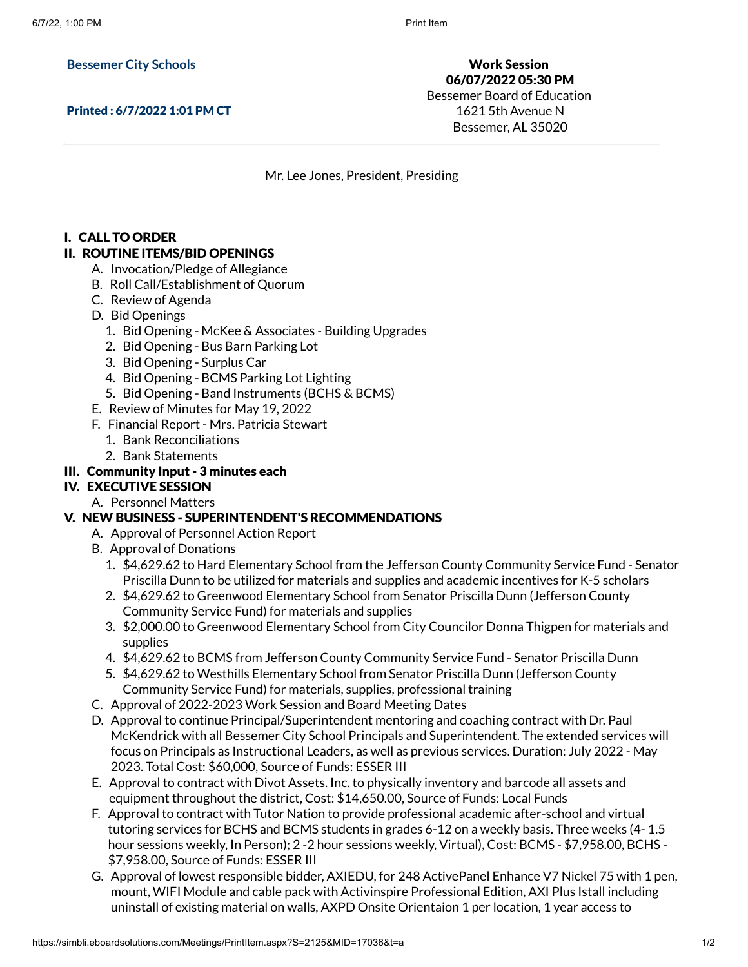**Bessemer City Schools**

Printed : 6/7/2022 1:01 PM CT

Work Session 06/07/2022 05:30 PM Bessemer Board of Education 1621 5th Avenue N Bessemer, AL 35020

Mr. Lee Jones, President, Presiding

## I. CALL TO ORDER

### II. ROUTINE ITEMS/BID OPENINGS

- A. Invocation/Pledge of Allegiance
- B. Roll Call/Establishment of Quorum
- C. Review of Agenda
- D. Bid Openings
	- 1. Bid Opening McKee & Associates Building Upgrades
	- 2. Bid Opening Bus Barn Parking Lot
	- 3. Bid Opening Surplus Car
	- 4. Bid Opening BCMS Parking Lot Lighting
	- 5. Bid Opening Band Instruments (BCHS & BCMS)
- E. Review of Minutes for May 19, 2022
- F. Financial Report Mrs. Patricia Stewart
	- 1. Bank Reconciliations
	- 2. Bank Statements

## III. Community Input - 3 minutes each

## IV. EXECUTIVE SESSION

- A. Personnel Matters
- V. NEW BUSINESS SUPERINTENDENT'S RECOMMENDATIONS
	- A. Approval of Personnel Action Report
	- B. Approval of Donations
		- 1. \$4,629.62 to Hard Elementary School from the Jefferson County Community Service Fund Senator Priscilla Dunn to be utilized for materials and supplies and academic incentives for K-5 scholars
		- 2. \$4,629.62 to Greenwood Elementary School from Senator Priscilla Dunn (Jefferson County Community Service Fund) for materials and supplies
		- 3. \$2,000.00 to Greenwood Elementary School from City Councilor Donna Thigpen for materials and supplies
		- 4. \$4,629.62 to BCMS from Jefferson County Community Service Fund Senator Priscilla Dunn
		- 5. \$4,629.62 to Westhills Elementary School from Senator Priscilla Dunn (Jefferson County Community Service Fund) for materials, supplies, professional training
	- C. Approval of 2022-2023 Work Session and Board Meeting Dates
	- D. Approval to continue Principal/Superintendent mentoring and coaching contract with Dr. Paul McKendrick with all Bessemer City School Principals and Superintendent. The extended services will focus on Principals as Instructional Leaders, as well as previous services. Duration: July 2022 - May 2023. Total Cost: \$60,000, Source of Funds: ESSER III
	- E. Approval to contract with Divot Assets. Inc. to physically inventory and barcode all assets and equipment throughout the district, Cost: \$14,650.00, Source of Funds: Local Funds
	- F. Approval to contract with Tutor Nation to provide professional academic after-school and virtual tutoring services for BCHS and BCMS students in grades 6-12 on a weekly basis. Three weeks (4- 1.5 hour sessions weekly, In Person); 2 -2 hour sessions weekly, Virtual), Cost: BCMS - \$7,958.00, BCHS - \$7,958.00, Source of Funds: ESSER III
	- G. Approval of lowest responsible bidder, AXIEDU, for 248 ActivePanel Enhance V7 Nickel 75 with 1 pen, mount, WIFI Module and cable pack with Activinspire Professional Edition, AXI Plus Istall including uninstall of existing material on walls, AXPD Onsite Orientaion 1 per location, 1 year access to